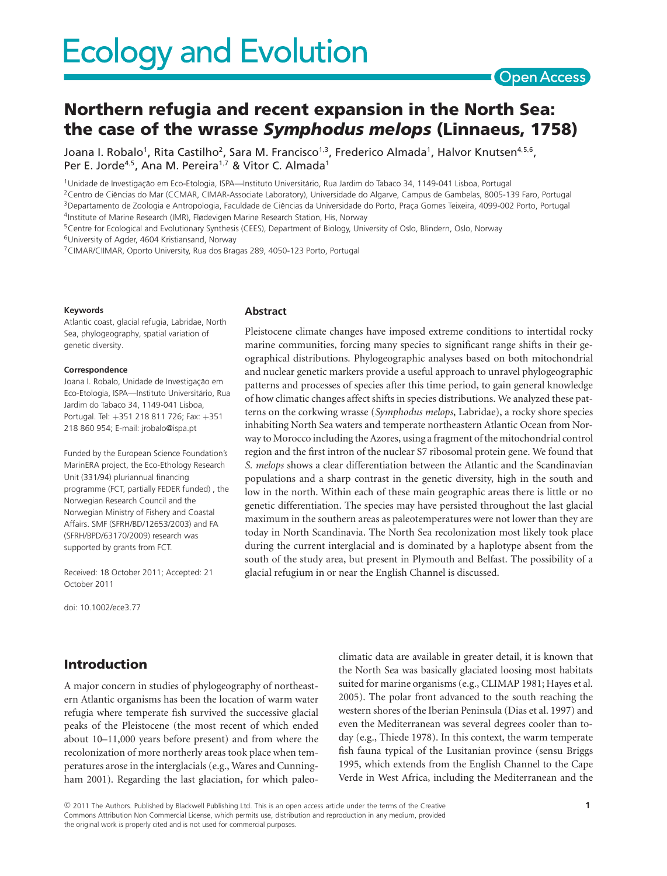# Open Access

# **Northern refugia and recent expansion in the North Sea: the case of the wrasse** *Symphodus melops* **(Linnaeus, 1758)**

Joana I. Robalo<sup>1</sup>, Rita Castilho<sup>2</sup>, Sara M. Francisco<sup>1,3</sup>, Frederico Almada<sup>1</sup>, Halvor Knutsen<sup>4,5,6</sup>, Per E. Jorde<sup>4,5</sup>, Ana M. Pereira<sup>1,7</sup> & Vitor C. Almada<sup>1</sup>

<sup>1</sup>Unidade de Investigação em Eco-Etologia, ISPA—Instituto Universitário, Rua Jardim do Tabaco 34, 1149-041 Lisboa, Portugal

<sup>2</sup> Centro de Ciências do Mar (CCMAR, CIMAR-Associate Laboratory), Universidade do Algarve, Campus de Gambelas, 8005-139 Faro, Portugal 3Departamento de Zoologia e Antropologia, Faculdade de Ciências da Universidade do Porto, Praça Gomes Teixeira, 4099-002 Porto, Portugal 4Institute of Marine Research (IMR), Flødevigen Marine Research Station, His, Norway

5Centre for Ecological and Evolutionary Synthesis (CEES), Department of Biology, University of Oslo, Blindern, Oslo, Norway

6University of Agder, 4604 Kristiansand, Norway

7CIMAR/CIIMAR, Oporto University, Rua dos Bragas 289, 4050-123 Porto, Portugal

#### **Keywords**

Atlantic coast, glacial refugia, Labridae, North Sea, phylogeography, spatial variation of genetic diversity.

#### **Correspondence**

Joana I. Robalo, Unidade de Investigação em Eco-Etologia, ISPA—Instituto Universitario, Rua ´ Jardim do Tabaco 34, 1149-041 Lisboa, Portugal. Tel: +351 218 811 726; Fax: +351 218 860 954; E-mail: jrobalo@ispa.pt

Funded by the European Science Foundation's MarinERA project, the Eco-Ethology Research Unit (331/94) pluriannual financing programme (FCT, partially FEDER funded) , the Norwegian Research Council and the Norwegian Ministry of Fishery and Coastal Affairs. SMF (SFRH/BD/12653/2003) and FA (SFRH/BPD/63170/2009) research was supported by grants from FCT.

Received: 18 October 2011; Accepted: 21 October 2011

doi: 10.1002/ece3.77

#### **Abstract**

Pleistocene climate changes have imposed extreme conditions to intertidal rocky marine communities, forcing many species to significant range shifts in their geographical distributions. Phylogeographic analyses based on both mitochondrial and nuclear genetic markers provide a useful approach to unravel phylogeographic patterns and processes of species after this time period, to gain general knowledge of how climatic changes affect shifts in species distributions. We analyzed these patterns on the corkwing wrasse (*Symphodus melops*, Labridae), a rocky shore species inhabiting North Sea waters and temperate northeastern Atlantic Ocean from Norway to Morocco including the Azores, using a fragment of the mitochondrial control region and the first intron of the nuclear S7 ribosomal protein gene. We found that *S. melops* shows a clear differentiation between the Atlantic and the Scandinavian populations and a sharp contrast in the genetic diversity, high in the south and low in the north. Within each of these main geographic areas there is little or no genetic differentiation. The species may have persisted throughout the last glacial maximum in the southern areas as paleotemperatures were not lower than they are today in North Scandinavia. The North Sea recolonization most likely took place during the current interglacial and is dominated by a haplotype absent from the south of the study area, but present in Plymouth and Belfast. The possibility of a glacial refugium in or near the English Channel is discussed.

## **Introduction**

A major concern in studies of phylogeography of northeastern Atlantic organisms has been the location of warm water refugia where temperate fish survived the successive glacial peaks of the Pleistocene (the most recent of which ended about 10–11,000 years before present) and from where the recolonization of more northerly areas took place when temperatures arose in the interglacials (e.g., Wares and Cunningham 2001). Regarding the last glaciation, for which paleoclimatic data are available in greater detail, it is known that the North Sea was basically glaciated loosing most habitats suited for marine organisms (e.g., CLIMAP 1981; Hayes et al. 2005). The polar front advanced to the south reaching the western shores of the Iberian Peninsula (Dias et al. 1997) and even the Mediterranean was several degrees cooler than today (e.g., Thiede 1978). In this context, the warm temperate fish fauna typical of the Lusitanian province (sensu Briggs 1995, which extends from the English Channel to the Cape Verde in West Africa, including the Mediterranean and the

 $\odot$  2011 The Authors. Published by Blackwell Publishing Ltd. This is an open access article under the terms of the Creative Commons Attribution Non Commercial License, which permits use, distribution and reproduction in any medium, provided the original work is properly cited and is not used for commercial purposes.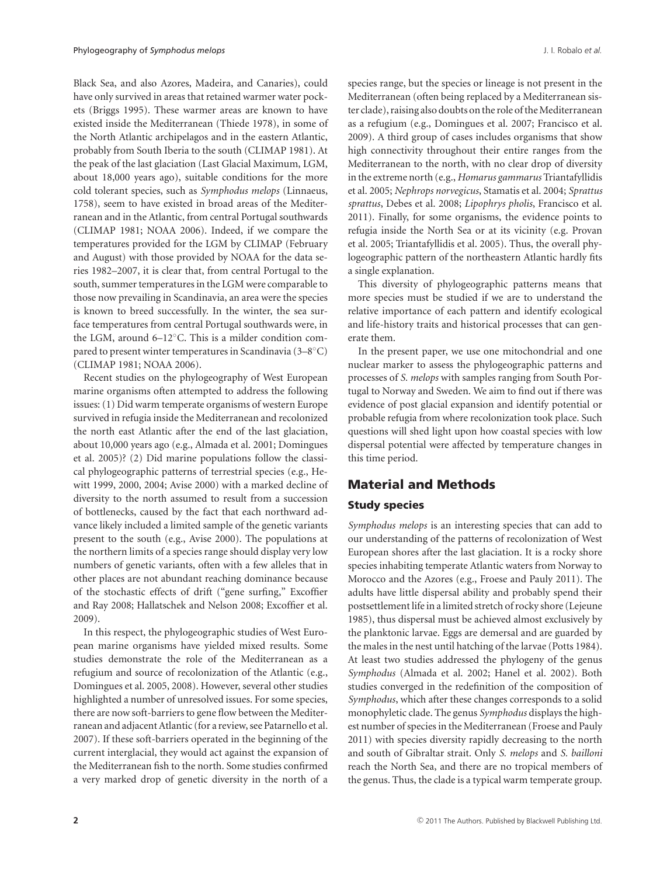Black Sea, and also Azores, Madeira, and Canaries), could have only survived in areas that retained warmer water pockets (Briggs 1995). These warmer areas are known to have existed inside the Mediterranean (Thiede 1978), in some of the North Atlantic archipelagos and in the eastern Atlantic, probably from South Iberia to the south (CLIMAP 1981). At the peak of the last glaciation (Last Glacial Maximum, LGM, about 18,000 years ago), suitable conditions for the more cold tolerant species, such as *Symphodus melops* (Linnaeus, 1758), seem to have existed in broad areas of the Mediterranean and in the Atlantic, from central Portugal southwards (CLIMAP 1981; NOAA 2006). Indeed, if we compare the temperatures provided for the LGM by CLIMAP (February and August) with those provided by NOAA for the data series 1982–2007, it is clear that, from central Portugal to the south, summer temperatures in the LGM were comparable to those now prevailing in Scandinavia, an area were the species is known to breed successfully. In the winter, the sea surface temperatures from central Portugal southwards were, in the LGM, around 6–12◦C. This is a milder condition compared to present winter temperatures in Scandinavia (3–8◦C) (CLIMAP 1981; NOAA 2006).

Recent studies on the phylogeography of West European marine organisms often attempted to address the following issues: (1) Did warm temperate organisms of western Europe survived in refugia inside the Mediterranean and recolonized the north east Atlantic after the end of the last glaciation, about 10,000 years ago (e.g., Almada et al. 2001; Domingues et al. 2005)? (2) Did marine populations follow the classical phylogeographic patterns of terrestrial species (e.g., Hewitt 1999, 2000, 2004; Avise 2000) with a marked decline of diversity to the north assumed to result from a succession of bottlenecks, caused by the fact that each northward advance likely included a limited sample of the genetic variants present to the south (e.g., Avise 2000). The populations at the northern limits of a species range should display very low numbers of genetic variants, often with a few alleles that in other places are not abundant reaching dominance because of the stochastic effects of drift ("gene surfing," Excoffier and Ray 2008; Hallatschek and Nelson 2008; Excoffier et al. 2009).

In this respect, the phylogeographic studies of West European marine organisms have yielded mixed results. Some studies demonstrate the role of the Mediterranean as a refugium and source of recolonization of the Atlantic (e.g., Domingues et al. 2005, 2008). However, several other studies highlighted a number of unresolved issues. For some species, there are now soft-barriers to gene flow between the Mediterranean and adjacent Atlantic (for a review, see Patarnello et al. 2007). If these soft-barriers operated in the beginning of the current interglacial, they would act against the expansion of the Mediterranean fish to the north. Some studies confirmed a very marked drop of genetic diversity in the north of a

species range, but the species or lineage is not present in the Mediterranean (often being replaced by a Mediterranean sister clade), raising also doubts on the role of the Mediterranean as a refugium (e.g., Domingues et al. 2007; Francisco et al. 2009). A third group of cases includes organisms that show high connectivity throughout their entire ranges from the Mediterranean to the north, with no clear drop of diversity in the extreme north (e.g., *Homarus gammarus* Triantafyllidis et al. 2005; *Nephrops norvegicus*, Stamatis et al. 2004; *Sprattus sprattus*, Debes et al. 2008; *Lipophrys pholis*, Francisco et al. 2011). Finally, for some organisms, the evidence points to refugia inside the North Sea or at its vicinity (e.g. Provan et al. 2005; Triantafyllidis et al. 2005). Thus, the overall phylogeographic pattern of the northeastern Atlantic hardly fits a single explanation.

This diversity of phylogeographic patterns means that more species must be studied if we are to understand the relative importance of each pattern and identify ecological and life-history traits and historical processes that can generate them.

In the present paper, we use one mitochondrial and one nuclear marker to assess the phylogeographic patterns and processes of *S. melops* with samples ranging from South Portugal to Norway and Sweden. We aim to find out if there was evidence of post glacial expansion and identify potential or probable refugia from where recolonization took place. Such questions will shed light upon how coastal species with low dispersal potential were affected by temperature changes in this time period.

### **Material and Methods**

#### **Study species**

*Symphodus melops* is an interesting species that can add to our understanding of the patterns of recolonization of West European shores after the last glaciation. It is a rocky shore species inhabiting temperate Atlantic waters from Norway to Morocco and the Azores (e.g., Froese and Pauly 2011). The adults have little dispersal ability and probably spend their postsettlement life in a limited stretch of rocky shore (Lejeune 1985), thus dispersal must be achieved almost exclusively by the planktonic larvae. Eggs are demersal and are guarded by the males in the nest until hatching of the larvae (Potts 1984). At least two studies addressed the phylogeny of the genus *Symphodus* (Almada et al. 2002; Hanel et al. 2002). Both studies converged in the redefinition of the composition of *Symphodus*, which after these changes corresponds to a solid monophyletic clade. The genus *Symphodus* displays the highest number of species in the Mediterranean (Froese and Pauly 2011) with species diversity rapidly decreasing to the north and south of Gibraltar strait. Only *S. melops* and *S. bailloni* reach the North Sea, and there are no tropical members of the genus. Thus, the clade is a typical warm temperate group.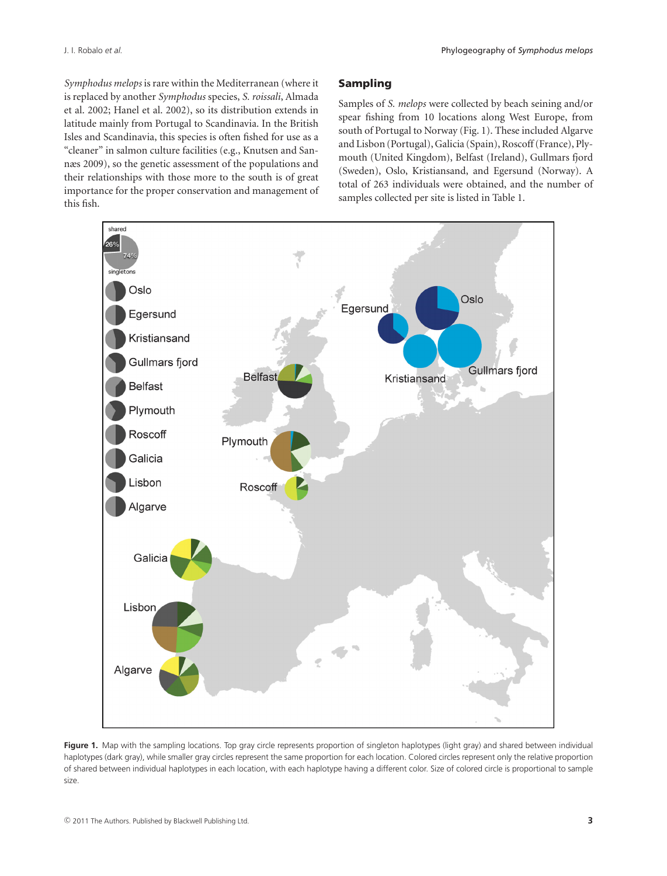*Symphodus melops* is rare within the Mediterranean (where it is replaced by another *Symphodus* species, *S. roissali*, Almada et al. 2002; Hanel et al. 2002), so its distribution extends in latitude mainly from Portugal to Scandinavia. In the British Isles and Scandinavia, this species is often fished for use as a "cleaner" in salmon culture facilities (e.g., Knutsen and Sannæs 2009), so the genetic assessment of the populations and their relationships with those more to the south is of great importance for the proper conservation and management of this fish.

#### **Sampling**

Samples of *S. melops* were collected by beach seining and/or spear fishing from 10 locations along West Europe, from south of Portugal to Norway (Fig. 1). These included Algarve and Lisbon (Portugal), Galicia (Spain), Roscoff (France), Plymouth (United Kingdom), Belfast (Ireland), Gullmars fjord (Sweden), Oslo, Kristiansand, and Egersund (Norway). A total of 263 individuals were obtained, and the number of samples collected per site is listed in Table 1.



Figure 1. Map with the sampling locations. Top gray circle represents proportion of singleton haplotypes (light gray) and shared between individual haplotypes (dark gray), while smaller gray circles represent the same proportion for each location. Colored circles represent only the relative proportion of shared between individual haplotypes in each location, with each haplotype having a different color. Size of colored circle is proportional to sample size.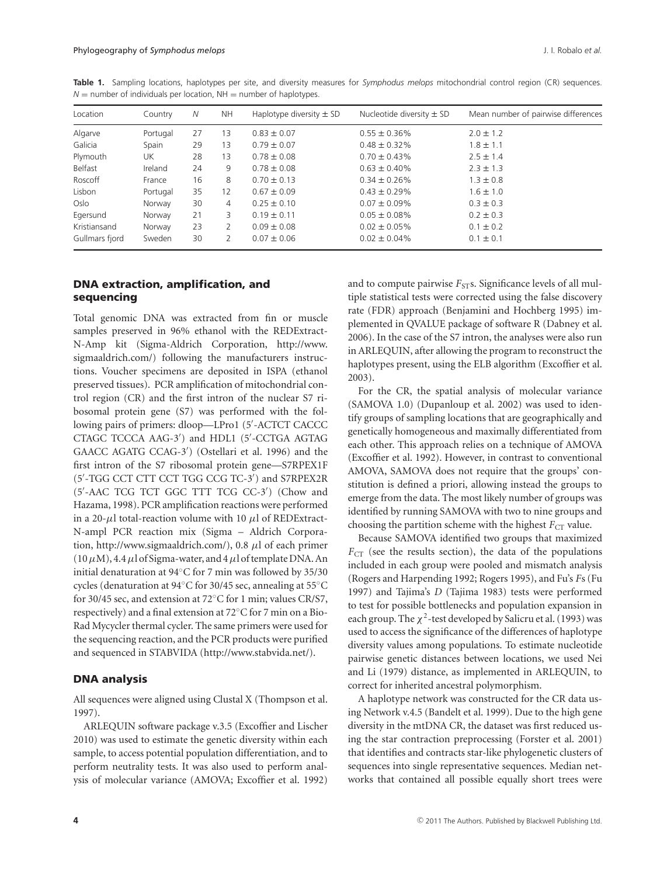|  |  |                                                                        |  |  |  | <b>Table 1.</b> Sampling locations, haplotypes per site, and diversity measures for Symphodus melops mitochondrial control region (CR) sequences |  |  |
|--|--|------------------------------------------------------------------------|--|--|--|--------------------------------------------------------------------------------------------------------------------------------------------------|--|--|
|  |  | $N =$ number of individuals per location. NH $=$ number of haplotypes. |  |  |  |                                                                                                                                                  |  |  |

| Location       | Country  | N  | <b>NH</b>         | Haplotype diversity $\pm$ SD | Nucleotide diversity $\pm$ SD | Mean number of pairwise differences |
|----------------|----------|----|-------------------|------------------------------|-------------------------------|-------------------------------------|
| Algarve        | Portugal | 27 | 13                | $0.83 \pm 0.07$              | $0.55 \pm 0.36\%$             | $2.0 \pm 1.2$                       |
| Galicia        | Spain    | 29 | 13                | $0.79 \pm 0.07$              | $0.48 \pm 0.32\%$             | $1.8 \pm 1.1$                       |
| Plymouth       | UK       | 28 | 13                | $0.78 \pm 0.08$              | $0.70 \pm 0.43\%$             | $2.5 \pm 1.4$                       |
| Belfast        | Ireland  | 24 | 9                 | $0.78 \pm 0.08$              | $0.63 \pm 0.40\%$             | $2.3 \pm 1.3$                       |
| Roscoff        | France   | 16 | 8                 | $0.70 \pm 0.13$              | $0.34 \pm 0.26\%$             | $1.3 \pm 0.8$                       |
| Lisbon         | Portugal | 35 | $12 \overline{ }$ | $0.67 \pm 0.09$              | $0.43 \pm 0.29\%$             | $1.6 \pm 1.0$                       |
| Oslo           | Norway   | 30 | 4                 | $0.25 \pm 0.10$              | $0.07 \pm 0.09\%$             | $0.3 \pm 0.3$                       |
| Egersund       | Norway   | 21 | 3                 | $0.19 \pm 0.11$              | $0.05 \pm 0.08\%$             | $0.2 \pm 0.3$                       |
| Kristiansand   | Norway   | 23 | 2                 | $0.09 \pm 0.08$              | $0.02 \pm 0.05\%$             | $0.1 \pm 0.2$                       |
| Gullmars fjord | Sweden   | 30 | 2                 | $0.07 \pm 0.06$              | $0.02 \pm 0.04\%$             | $0.1 \pm 0.1$                       |

#### **DNA extraction, amplification, and sequencing**

Total genomic DNA was extracted from fin or muscle samples preserved in 96% ethanol with the REDExtract-N-Amp kit (Sigma-Aldrich Corporation, http://www. sigmaaldrich.com/) following the manufacturers instructions. Voucher specimens are deposited in ISPA (ethanol preserved tissues). PCR amplification of mitochondrial control region (CR) and the first intron of the nuclear S7 ribosomal protein gene (S7) was performed with the following pairs of primers: dloop—LPro1 (5 -ACTCT CACCC CTAGC TCCCA AAG-3 ) and HDL1 (5 -CCTGA AGTAG GAACC AGATG CCAG-3 ) (Ostellari et al. 1996) and the first intron of the S7 ribosomal protein gene—S7RPEX1F (5 -TGG CCT CTT CCT TGG CCG TC-3 ) and S7RPEX2R (5 -AAC TCG TCT GGC TTT TCG CC-3 ) (Chow and Hazama, 1998). PCR amplification reactions were performed in a 20- $\mu$ l total-reaction volume with 10  $\mu$ l of REDExtract-N-ampl PCR reaction mix (Sigma – Aldrich Corporation, http://www.sigmaaldrich.com/), 0.8  $\mu$ l of each primer  $(10 \,\mu\text{M})$ , 4.4  $\mu$ l of Sigma-water, and 4  $\mu$ l of template DNA. An initial denaturation at 94◦C for 7 min was followed by 35/30 cycles (denaturation at 94◦C for 30/45 sec, annealing at 55◦C for 30/45 sec, and extension at 72◦C for 1 min; values CR/S7, respectively) and a final extension at 72◦C for 7 min on a Bio-Rad Mycycler thermal cycler. The same primers were used for the sequencing reaction, and the PCR products were purified and sequenced in STABVIDA (http://www.stabvida.net/).

#### **DNA analysis**

All sequences were aligned using Clustal X (Thompson et al. 1997).

ARLEQUIN software package v.3.5 (Excoffier and Lischer 2010) was used to estimate the genetic diversity within each sample, to access potential population differentiation, and to perform neutrality tests. It was also used to perform analysis of molecular variance (AMOVA; Excoffier et al. 1992) and to compute pairwise  $F_{ST}$ s. Significance levels of all multiple statistical tests were corrected using the false discovery rate (FDR) approach (Benjamini and Hochberg 1995) implemented in QVALUE package of software R (Dabney et al. 2006). In the case of the S7 intron, the analyses were also run in ARLEQUIN, after allowing the program to reconstruct the haplotypes present, using the ELB algorithm (Excoffier et al. 2003).

For the CR, the spatial analysis of molecular variance (SAMOVA 1.0) (Dupanloup et al. 2002) was used to identify groups of sampling locations that are geographically and genetically homogeneous and maximally differentiated from each other. This approach relies on a technique of AMOVA (Excoffier et al. 1992). However, in contrast to conventional AMOVA, SAMOVA does not require that the groups' constitution is defined a priori, allowing instead the groups to emerge from the data. The most likely number of groups was identified by running SAMOVA with two to nine groups and choosing the partition scheme with the highest  $F_{CT}$  value.

Because SAMOVA identified two groups that maximized  $F_{CT}$  (see the results section), the data of the populations included in each group were pooled and mismatch analysis (Rogers and Harpending 1992; Rogers 1995), and Fu's *F*s (Fu 1997) and Tajima's *D* (Tajima 1983) tests were performed to test for possible bottlenecks and population expansion in each group. The  $\chi^2$ -test developed by Salicru et al. (1993) was used to access the significance of the differences of haplotype diversity values among populations. To estimate nucleotide pairwise genetic distances between locations, we used Nei and Li (1979) distance, as implemented in ARLEQUIN, to correct for inherited ancestral polymorphism.

A haplotype network was constructed for the CR data using Network v.4.5 (Bandelt et al. 1999). Due to the high gene diversity in the mtDNA CR, the dataset was first reduced using the star contraction preprocessing (Forster et al. 2001) that identifies and contracts star-like phylogenetic clusters of sequences into single representative sequences. Median networks that contained all possible equally short trees were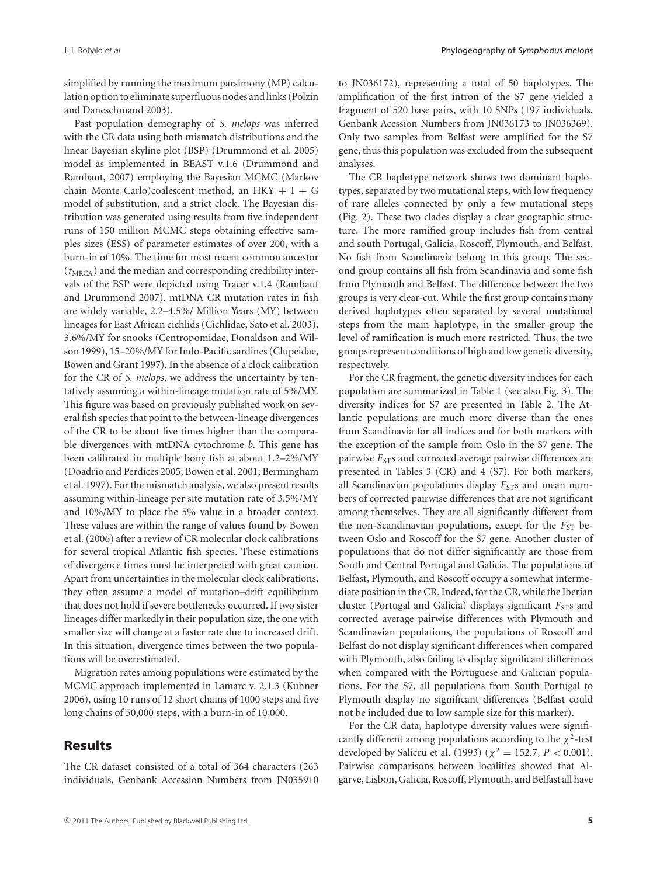simplified by running the maximum parsimony (MP) calculation option to eliminate superfluous nodes and links (Polzin and Daneschmand 2003).

Past population demography of *S. melops* was inferred with the CR data using both mismatch distributions and the linear Bayesian skyline plot (BSP) (Drummond et al. 2005) model as implemented in BEAST v.1.6 (Drummond and Rambaut, 2007) employing the Bayesian MCMC (Markov chain Monte Carlo)coalescent method, an  $HKY + I + G$ model of substitution, and a strict clock. The Bayesian distribution was generated using results from five independent runs of 150 million MCMC steps obtaining effective samples sizes (ESS) of parameter estimates of over 200, with a burn-in of 10%. The time for most recent common ancestor  $(t<sub>MRCA</sub>)$  and the median and corresponding credibility intervals of the BSP were depicted using Tracer v.1.4 (Rambaut and Drummond 2007). mtDNA CR mutation rates in fish are widely variable, 2.2–4.5%/ Million Years (MY) between lineages for East African cichlids (Cichlidae, Sato et al. 2003), 3.6%/MY for snooks (Centropomidae, Donaldson and Wilson 1999), 15–20%/MY for Indo-Pacific sardines (Clupeidae, Bowen and Grant 1997). In the absence of a clock calibration for the CR of *S. melops*, we address the uncertainty by tentatively assuming a within-lineage mutation rate of 5%/MY. This figure was based on previously published work on several fish species that point to the between-lineage divergences of the CR to be about five times higher than the comparable divergences with mtDNA cytochrome *b*. This gene has been calibrated in multiple bony fish at about 1.2–2%/MY (Doadrio and Perdices 2005; Bowen et al. 2001; Bermingham et al. 1997). For the mismatch analysis, we also present results assuming within-lineage per site mutation rate of 3.5%/MY and 10%/MY to place the 5% value in a broader context. These values are within the range of values found by Bowen et al. (2006) after a review of CR molecular clock calibrations for several tropical Atlantic fish species. These estimations of divergence times must be interpreted with great caution. Apart from uncertainties in the molecular clock calibrations, they often assume a model of mutation–drift equilibrium that does not hold if severe bottlenecks occurred. If two sister lineages differ markedly in their population size, the one with smaller size will change at a faster rate due to increased drift. In this situation, divergence times between the two populations will be overestimated.

Migration rates among populations were estimated by the MCMC approach implemented in Lamarc v. 2.1.3 (Kuhner 2006), using 10 runs of 12 short chains of 1000 steps and five long chains of 50,000 steps, with a burn-in of 10,000.

#### **Results**

The CR dataset consisted of a total of 364 characters (263 individuals, Genbank Accession Numbers from JN035910 to JN036172), representing a total of 50 haplotypes. The amplification of the first intron of the S7 gene yielded a fragment of 520 base pairs, with 10 SNPs (197 individuals, Genbank Acession Numbers from JN036173 to JN036369). Only two samples from Belfast were amplified for the S7 gene, thus this population was excluded from the subsequent analyses.

The CR haplotype network shows two dominant haplotypes, separated by two mutational steps, with low frequency of rare alleles connected by only a few mutational steps (Fig. 2). These two clades display a clear geographic structure. The more ramified group includes fish from central and south Portugal, Galicia, Roscoff, Plymouth, and Belfast. No fish from Scandinavia belong to this group. The second group contains all fish from Scandinavia and some fish from Plymouth and Belfast. The difference between the two groups is very clear-cut. While the first group contains many derived haplotypes often separated by several mutational steps from the main haplotype, in the smaller group the level of ramification is much more restricted. Thus, the two groups represent conditions of high and low genetic diversity, respectively.

For the CR fragment, the genetic diversity indices for each population are summarized in Table 1 (see also Fig. 3). The diversity indices for S7 are presented in Table 2. The Atlantic populations are much more diverse than the ones from Scandinavia for all indices and for both markers with the exception of the sample from Oslo in the S7 gene. The pairwise  $F_{ST}$ s and corrected average pairwise differences are presented in Tables 3 (CR) and 4 (S7). For both markers, all Scandinavian populations display *F*<sub>ST</sub>s and mean numbers of corrected pairwise differences that are not significant among themselves. They are all significantly different from the non-Scandinavian populations, except for the  $F_{ST}$  between Oslo and Roscoff for the S7 gene. Another cluster of populations that do not differ significantly are those from South and Central Portugal and Galicia. The populations of Belfast, Plymouth, and Roscoff occupy a somewhat intermediate position in the CR. Indeed, for the CR, while the Iberian cluster (Portugal and Galicia) displays significant  $F_{ST}$ s and corrected average pairwise differences with Plymouth and Scandinavian populations, the populations of Roscoff and Belfast do not display significant differences when compared with Plymouth, also failing to display significant differences when compared with the Portuguese and Galician populations. For the S7, all populations from South Portugal to Plymouth display no significant differences (Belfast could not be included due to low sample size for this marker).

For the CR data, haplotype diversity values were significantly different among populations according to the  $\chi^2$ -test developed by Salicru et al. (1993) ( $\chi^2 = 152.7$ ,  $P < 0.001$ ). Pairwise comparisons between localities showed that Algarve, Lisbon, Galicia, Roscoff, Plymouth, and Belfast all have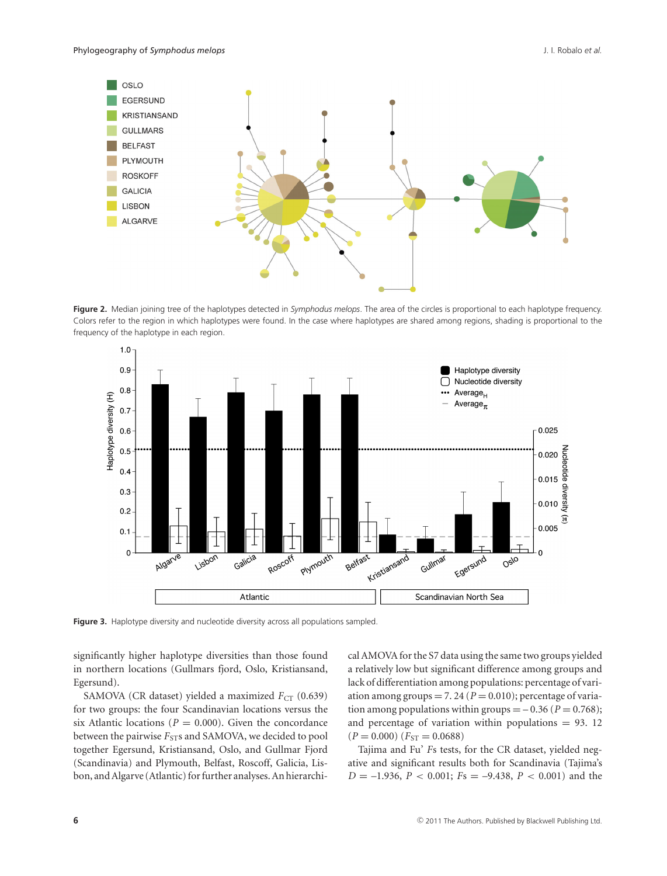

**Figure 2.** Median joining tree of the haplotypes detected in *Symphodus melops*. The area of the circles is proportional to each haplotype frequency. Colors refer to the region in which haplotypes were found. In the case where haplotypes are shared among regions, shading is proportional to the frequency of the haplotype in each region.



Figure 3. Haplotype diversity and nucleotide diversity across all populations sampled.

significantly higher haplotype diversities than those found in northern locations (Gullmars fjord, Oslo, Kristiansand, Egersund).

SAMOVA (CR dataset) yielded a maximized  $F_{CT}$  (0.639) for two groups: the four Scandinavian locations versus the six Atlantic locations ( $P = 0.000$ ). Given the concordance between the pairwise  $F_{ST}$ s and SAMOVA, we decided to pool together Egersund, Kristiansand, Oslo, and Gullmar Fjord (Scandinavia) and Plymouth, Belfast, Roscoff, Galicia, Lisbon, and Algarve (Atlantic) for further analyses. An hierarchical AMOVA for the S7 data using the same two groups yielded a relatively low but significant difference among groups and lack of differentiation among populations: percentage of variation among groups = 7. 24 ( $P = 0.010$ ); percentage of variation among populations within groups  $=$   $-0.36$  ( $P = 0.768$ ); and percentage of variation within populations  $= 93.12$  $(P = 0.000)$   $(F_{ST} = 0.0688)$ 

Tajima and Fu' *F*s tests, for the CR dataset, yielded negative and significant results both for Scandinavia (Tajima's  $D = -1.936$ ,  $P < 0.001$ ;  $Fs = -9.438$ ,  $P < 0.001$ ) and the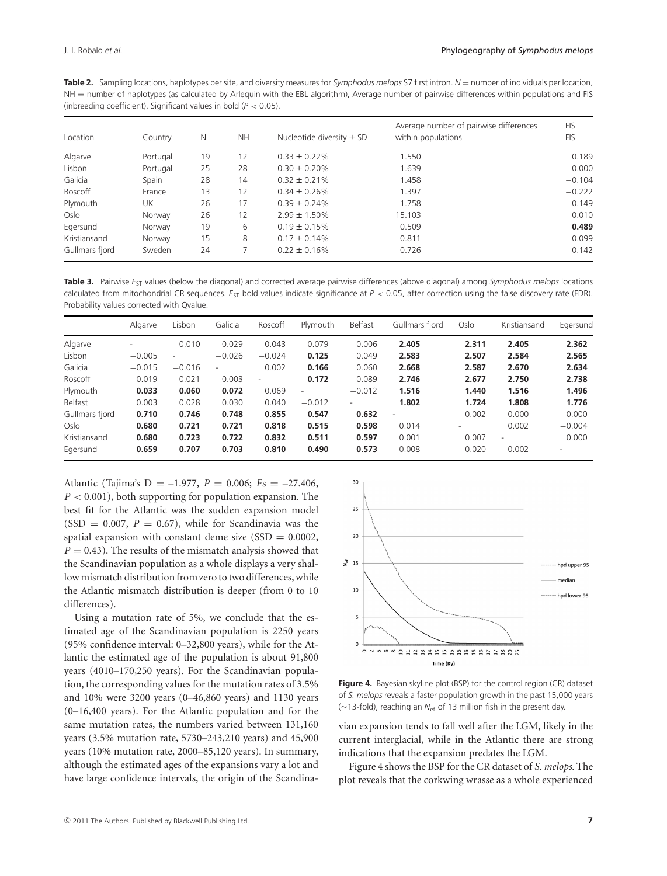**Table 2.** Sampling locations, haplotypes per site, and diversity measures for *Symphodus melops* S7 first intron. *N* = number of individuals per location, NH = number of haplotypes (as calculated by Arlequin with the EBL algorithm), Average number of pairwise differences within populations and FIS (inbreeding coefficient). Significant values in bold (*P* < 0.05).

| Location       | Country  | N  | <b>NH</b> | Nucleotide diversity $\pm$ SD | Average number of pairwise differences<br>within populations | <b>FIS</b><br><b>FIS</b> |
|----------------|----------|----|-----------|-------------------------------|--------------------------------------------------------------|--------------------------|
| Algarve        | Portugal | 19 | 12        | $0.33 \pm 0.22\%$             | 1.550                                                        | 0.189                    |
| Lisbon         | Portugal | 25 | 28        | $0.30 \pm 0.20\%$             | 1.639                                                        | 0.000                    |
| Galicia        | Spain    | 28 | 14        | $0.32 \pm 0.21\%$             | 1.458                                                        | $-0.104$                 |
| Roscoff        | France   | 13 | 12        | $0.34 \pm 0.26\%$             | 1.397                                                        | $-0.222$                 |
| Plymouth       | UK       | 26 | 17        | $0.39 \pm 0.24\%$             | 1.758                                                        | 0.149                    |
| Oslo           | Norway   | 26 | 12        | $2.99 \pm 1.50\%$             | 15.103                                                       | 0.010                    |
| Egersund       | Norway   | 19 | 6         | $0.19 \pm 0.15\%$             | 0.509                                                        | 0.489                    |
| Kristiansand   | Norway   | 15 | 8         | $0.17 \pm 0.14\%$             | 0.811                                                        | 0.099                    |
| Gullmars fjord | Sweden   | 24 |           | $0.22 \pm 0.16\%$             | 0.726                                                        | 0.142                    |

**Table 3.** Pairwise  $F_{ST}$  values (below the diagonal) and corrected average pairwise differences (above diagonal) among *Symphodus melops* locations calculated from mitochondrial CR sequences. *F*<sub>ST</sub> bold values indicate significance at *P* < 0.05, after correction using the false discovery rate (FDR). Probability values corrected with Qvalue.

|                | Algarve  | Lisbon                   | Galicia                  | Roscoff                  | Plymouth                 | Belfast                  | Gullmars fjord | Oslo     | Kristiansand   | Egersund |
|----------------|----------|--------------------------|--------------------------|--------------------------|--------------------------|--------------------------|----------------|----------|----------------|----------|
| Algarve        |          | $-0.010$                 | $-0.029$                 | 0.043                    | 0.079                    | 0.006                    | 2.405          | 2.311    | 2.405          | 2.362    |
| Lisbon         | $-0.005$ | $\overline{\phantom{a}}$ | $-0.026$                 | $-0.024$                 | 0.125                    | 0.049                    | 2.583          | 2.507    | 2.584          | 2.565    |
| Galicia        | $-0.015$ | $-0.016$                 | $\overline{\phantom{a}}$ | 0.002                    | 0.166                    | 0.060                    | 2.668          | 2.587    | 2.670          | 2.634    |
| Roscoff        | 0.019    | $-0.021$                 | $-0.003$                 | $\overline{\phantom{a}}$ | 0.172                    | 0.089                    | 2.746          | 2.677    | 2.750          | 2.738    |
| Plymouth       | 0.033    | 0.060                    | 0.072                    | 0.069                    | $\overline{\phantom{a}}$ | $-0.012$                 | 1.516          | 1.440    | 1.516          | 1.496    |
| Belfast        | 0.003    | 0.028                    | 0.030                    | 0.040                    | $-0.012$                 | $\overline{\phantom{a}}$ | 1.802          | 1.724    | 1.808          | 1.776    |
| Gullmars fjord | 0.710    | 0.746                    | 0.748                    | 0.855                    | 0.547                    | 0.632                    | $\sim$         | 0.002    | 0.000          | 0.000    |
| Oslo           | 0.680    | 0.721                    | 0.721                    | 0.818                    | 0.515                    | 0.598                    | 0.014          |          | 0.002          | $-0.004$ |
| Kristiansand   | 0.680    | 0.723                    | 0.722                    | 0.832                    | 0.511                    | 0.597                    | 0.001          | 0.007    | $\overline{a}$ | 0.000    |
| Egersund       | 0.659    | 0.707                    | 0.703                    | 0.810                    | 0.490                    | 0.573                    | 0.008          | $-0.020$ | 0.002          | -        |

Atlantic (Tajima's D = –1.977, *P* = 0.006; *F*s = –27.406,  $P < 0.001$ ), both supporting for population expansion. The best fit for the Atlantic was the sudden expansion model  $(SSD = 0.007, P = 0.67)$ , while for Scandinavia was the spatial expansion with constant deme size  $(SSD = 0.0002,$  $P = 0.43$ ). The results of the mismatch analysis showed that the Scandinavian population as a whole displays a very shallow mismatch distribution from zero to two differences, while the Atlantic mismatch distribution is deeper (from 0 to 10 differences).

Using a mutation rate of 5%, we conclude that the estimated age of the Scandinavian population is 2250 years (95% confidence interval: 0–32,800 years), while for the Atlantic the estimated age of the population is about 91,800 years (4010–170,250 years). For the Scandinavian population, the corresponding values for the mutation rates of 3.5% and 10% were 3200 years (0–46,860 years) and 1130 years (0–16,400 years). For the Atlantic population and for the same mutation rates, the numbers varied between 131,160 years (3.5% mutation rate, 5730–243,210 years) and 45,900 years (10% mutation rate, 2000–85,120 years). In summary, although the estimated ages of the expansions vary a lot and have large confidence intervals, the origin of the Scandina-



**Figure 4.** Bayesian skyline plot (BSP) for the control region (CR) dataset of *S. melops* reveals a faster population growth in the past 15,000 years (∼13-fold), reaching an *N*ef of 13 million fish in the present day.

vian expansion tends to fall well after the LGM, likely in the current interglacial, while in the Atlantic there are strong indications that the expansion predates the LGM.

Figure 4 shows the BSP for the CR dataset of *S. melops.* The plot reveals that the corkwing wrasse as a whole experienced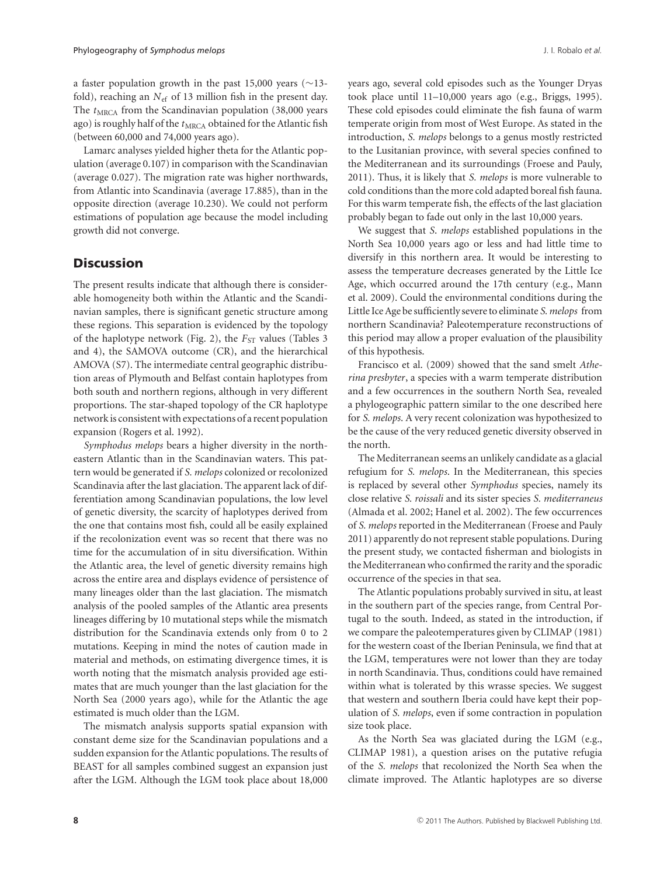a faster population growth in the past 15,000 years (∼13 fold), reaching an  $N<sub>ef</sub>$  of 13 million fish in the present day. The  $t_{MRCA}$  from the Scandinavian population (38,000 years) ago) is roughly half of the  $t_{MRCA}$  obtained for the Atlantic fish (between 60,000 and 74,000 years ago).

Lamarc analyses yielded higher theta for the Atlantic population (average 0.107) in comparison with the Scandinavian (average 0.027). The migration rate was higher northwards, from Atlantic into Scandinavia (average 17.885), than in the opposite direction (average 10.230). We could not perform estimations of population age because the model including growth did not converge.

### **Discussion**

The present results indicate that although there is considerable homogeneity both within the Atlantic and the Scandinavian samples, there is significant genetic structure among these regions. This separation is evidenced by the topology of the haplotype network (Fig. 2), the  $F_{ST}$  values (Tables 3) and 4), the SAMOVA outcome (CR), and the hierarchical AMOVA (S7). The intermediate central geographic distribution areas of Plymouth and Belfast contain haplotypes from both south and northern regions, although in very different proportions. The star-shaped topology of the CR haplotype network is consistent with expectations of a recent population expansion (Rogers et al. 1992).

*Symphodus melops* bears a higher diversity in the northeastern Atlantic than in the Scandinavian waters. This pattern would be generated if *S. melops* colonized or recolonized Scandinavia after the last glaciation. The apparent lack of differentiation among Scandinavian populations, the low level of genetic diversity, the scarcity of haplotypes derived from the one that contains most fish, could all be easily explained if the recolonization event was so recent that there was no time for the accumulation of in situ diversification. Within the Atlantic area, the level of genetic diversity remains high across the entire area and displays evidence of persistence of many lineages older than the last glaciation. The mismatch analysis of the pooled samples of the Atlantic area presents lineages differing by 10 mutational steps while the mismatch distribution for the Scandinavia extends only from 0 to 2 mutations. Keeping in mind the notes of caution made in material and methods, on estimating divergence times, it is worth noting that the mismatch analysis provided age estimates that are much younger than the last glaciation for the North Sea (2000 years ago), while for the Atlantic the age estimated is much older than the LGM.

The mismatch analysis supports spatial expansion with constant deme size for the Scandinavian populations and a sudden expansion for the Atlantic populations. The results of BEAST for all samples combined suggest an expansion just after the LGM. Although the LGM took place about 18,000

years ago, several cold episodes such as the Younger Dryas took place until 11–10,000 years ago (e.g., Briggs, 1995). These cold episodes could eliminate the fish fauna of warm temperate origin from most of West Europe. As stated in the introduction, *S. melops* belongs to a genus mostly restricted to the Lusitanian province, with several species confined to the Mediterranean and its surroundings (Froese and Pauly, 2011). Thus, it is likely that *S. melops* is more vulnerable to cold conditions than the more cold adapted boreal fish fauna. For this warm temperate fish, the effects of the last glaciation probably began to fade out only in the last 10,000 years.

We suggest that *S*. *melops* established populations in the North Sea 10,000 years ago or less and had little time to diversify in this northern area. It would be interesting to assess the temperature decreases generated by the Little Ice Age, which occurred around the 17th century (e.g., Mann et al. 2009). Could the environmental conditions during the Little Ice Age be sufficiently severe to eliminate *S. melops* from northern Scandinavia? Paleotemperature reconstructions of this period may allow a proper evaluation of the plausibility of this hypothesis.

Francisco et al. (2009) showed that the sand smelt *Atherina presbyter*, a species with a warm temperate distribution and a few occurrences in the southern North Sea, revealed a phylogeographic pattern similar to the one described here for *S. melops*. A very recent colonization was hypothesized to be the cause of the very reduced genetic diversity observed in the north.

The Mediterranean seems an unlikely candidate as a glacial refugium for *S. melops*. In the Mediterranean, this species is replaced by several other *Symphodus* species, namely its close relative *S. roissali* and its sister species *S. mediterraneus* (Almada et al. 2002; Hanel et al. 2002). The few occurrences of *S. melops* reported in the Mediterranean (Froese and Pauly 2011) apparently do not represent stable populations. During the present study, we contacted fisherman and biologists in the Mediterranean who confirmed the rarity and the sporadic occurrence of the species in that sea.

The Atlantic populations probably survived in situ, at least in the southern part of the species range, from Central Portugal to the south. Indeed, as stated in the introduction, if we compare the paleotemperatures given by CLIMAP (1981) for the western coast of the Iberian Peninsula, we find that at the LGM, temperatures were not lower than they are today in north Scandinavia. Thus, conditions could have remained within what is tolerated by this wrasse species. We suggest that western and southern Iberia could have kept their population of *S. melops*, even if some contraction in population size took place.

As the North Sea was glaciated during the LGM (e.g., CLIMAP 1981), a question arises on the putative refugia of the *S. melops* that recolonized the North Sea when the climate improved. The Atlantic haplotypes are so diverse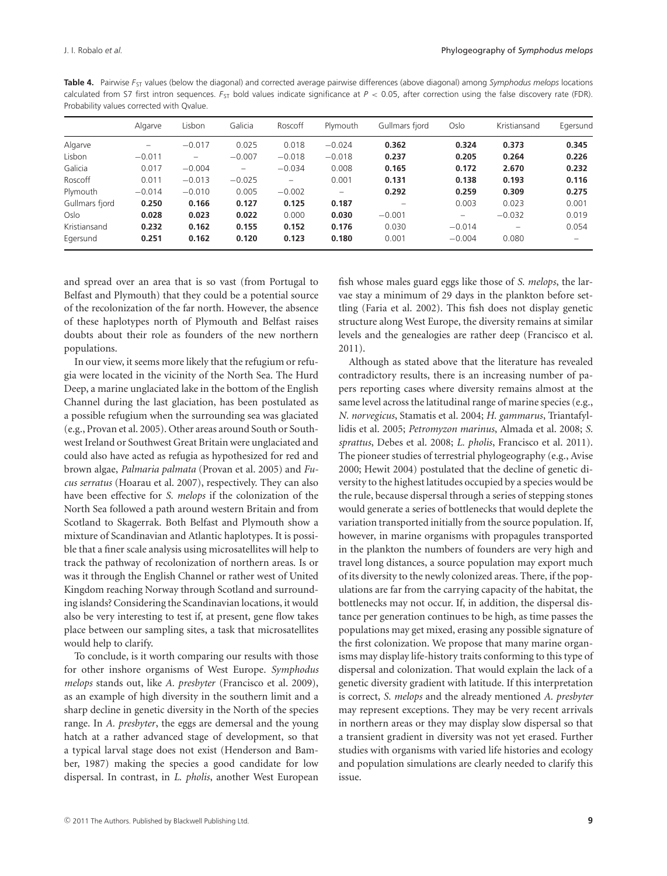Table 4. Pairwise *F<sub>ST</sub>* values (below the diagonal) and corrected average pairwise differences (above diagonal) among *Symphodus melops* locations calculated from S7 first intron sequences.  $F_{ST}$  bold values indicate significance at  $P < 0.05$ , after correction using the false discovery rate (FDR). Probability values corrected with Qvalue.

|                | Algarve  | Lisbon            | Galicia                  | Roscoff                  | Plymouth        | Gullmars fjord | Oslo              | Kristiansand             | Egersund          |
|----------------|----------|-------------------|--------------------------|--------------------------|-----------------|----------------|-------------------|--------------------------|-------------------|
| Algarve        | -        | $-0.017$          | 0.025                    | 0.018                    | $-0.024$        | 0.362          | 0.324             | 0.373                    | 0.345             |
| Lisbon         | $-0.011$ | $\qquad \qquad -$ | $-0.007$                 | $-0.018$                 | $-0.018$        | 0.237          | 0.205             | 0.264                    | 0.226             |
| Galicia        | 0.017    | $-0.004$          | $\overline{\phantom{m}}$ | $-0.034$                 | 0.008           | 0.165          | 0.172             | 2.670                    | 0.232             |
| Roscoff        | 0.011    | $-0.013$          | $-0.025$                 | $\overline{\phantom{0}}$ | 0.001           | 0.131          | 0.138             | 0.193                    | 0.116             |
| Plymouth       | $-0.014$ | $-0.010$          | 0.005                    | $-0.002$                 | $\qquad \qquad$ | 0.292          | 0.259             | 0.309                    | 0.275             |
| Gullmars fjord | 0.250    | 0.166             | 0.127                    | 0.125                    | 0.187           | -              | 0.003             | 0.023                    | 0.001             |
| Oslo           | 0.028    | 0.023             | 0.022                    | 0.000                    | 0.030           | $-0.001$       | $\qquad \qquad -$ | $-0.032$                 | 0.019             |
| Kristiansand   | 0.232    | 0.162             | 0.155                    | 0.152                    | 0.176           | 0.030          | $-0.014$          | $\overline{\phantom{0}}$ | 0.054             |
| Egersund       | 0.251    | 0.162             | 0.120                    | 0.123                    | 0.180           | 0.001          | $-0.004$          | 0.080                    | $\qquad \qquad =$ |

and spread over an area that is so vast (from Portugal to Belfast and Plymouth) that they could be a potential source of the recolonization of the far north. However, the absence of these haplotypes north of Plymouth and Belfast raises doubts about their role as founders of the new northern populations.

In our view, it seems more likely that the refugium or refugia were located in the vicinity of the North Sea. The Hurd Deep, a marine unglaciated lake in the bottom of the English Channel during the last glaciation, has been postulated as a possible refugium when the surrounding sea was glaciated (e.g., Provan et al. 2005). Other areas around South or Southwest Ireland or Southwest Great Britain were unglaciated and could also have acted as refugia as hypothesized for red and brown algae, *Palmaria palmata* (Provan et al. 2005) and *Fucus serratus* (Hoarau et al. 2007), respectively. They can also have been effective for *S. melops* if the colonization of the North Sea followed a path around western Britain and from Scotland to Skagerrak. Both Belfast and Plymouth show a mixture of Scandinavian and Atlantic haplotypes. It is possible that a finer scale analysis using microsatellites will help to track the pathway of recolonization of northern areas. Is or was it through the English Channel or rather west of United Kingdom reaching Norway through Scotland and surrounding islands? Considering the Scandinavian locations, it would also be very interesting to test if, at present, gene flow takes place between our sampling sites, a task that microsatellites would help to clarify.

To conclude, is it worth comparing our results with those for other inshore organisms of West Europe. *Symphodus melops* stands out, like *A. presbyter* (Francisco et al. 2009), as an example of high diversity in the southern limit and a sharp decline in genetic diversity in the North of the species range. In *A. presbyter*, the eggs are demersal and the young hatch at a rather advanced stage of development, so that a typical larval stage does not exist (Henderson and Bamber, 1987) making the species a good candidate for low dispersal. In contrast, in *L. pholis*, another West European fish whose males guard eggs like those of *S. melops*, the larvae stay a minimum of 29 days in the plankton before settling (Faria et al. 2002). This fish does not display genetic structure along West Europe, the diversity remains at similar levels and the genealogies are rather deep (Francisco et al. 2011).

Although as stated above that the literature has revealed contradictory results, there is an increasing number of papers reporting cases where diversity remains almost at the same level across the latitudinal range of marine species (e.g., *N. norvegicus*, Stamatis et al. 2004; *H. gammarus*, Triantafyllidis et al. 2005; *Petromyzon marinus*, Almada et al. 2008; *S. sprattus*, Debes et al. 2008; *L. pholis*, Francisco et al. 2011). The pioneer studies of terrestrial phylogeography (e.g., Avise 2000; Hewit 2004) postulated that the decline of genetic diversity to the highest latitudes occupied by a species would be the rule, because dispersal through a series of stepping stones would generate a series of bottlenecks that would deplete the variation transported initially from the source population. If, however, in marine organisms with propagules transported in the plankton the numbers of founders are very high and travel long distances, a source population may export much of its diversity to the newly colonized areas. There, if the populations are far from the carrying capacity of the habitat, the bottlenecks may not occur. If, in addition, the dispersal distance per generation continues to be high, as time passes the populations may get mixed, erasing any possible signature of the first colonization. We propose that many marine organisms may display life-history traits conforming to this type of dispersal and colonization. That would explain the lack of a genetic diversity gradient with latitude. If this interpretation is correct, *S. melops* and the already mentioned *A. presbyter* may represent exceptions. They may be very recent arrivals in northern areas or they may display slow dispersal so that a transient gradient in diversity was not yet erased. Further studies with organisms with varied life histories and ecology and population simulations are clearly needed to clarify this issue.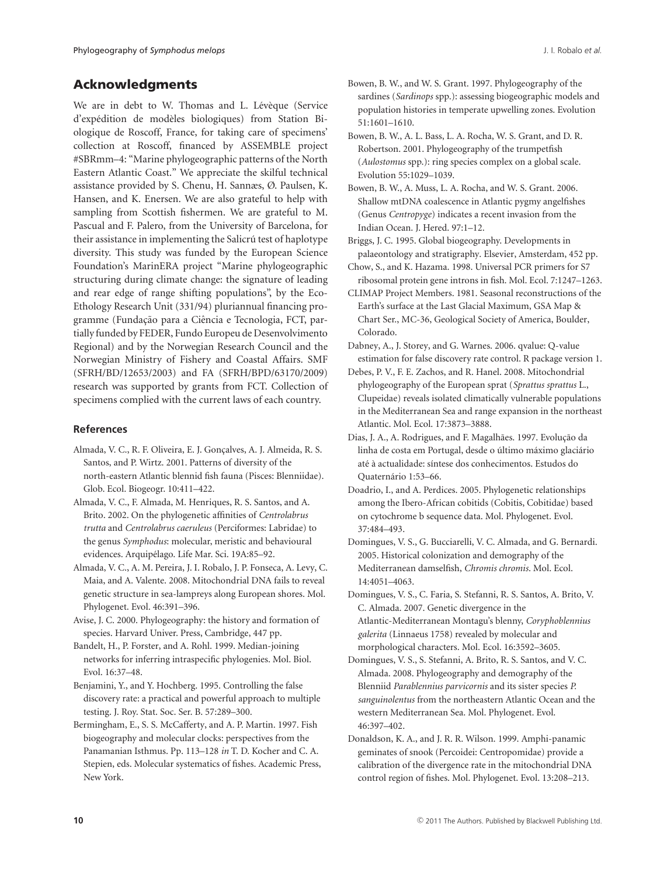### **Acknowledgments**

We are in debt to W. Thomas and L. Lévèque (Service d'expédition de modèles biologiques) from Station Biologique de Roscoff, France, for taking care of specimens' collection at Roscoff, financed by ASSEMBLE project #SBRmm–4: "Marine phylogeographic patterns of the North Eastern Atlantic Coast." We appreciate the skilful technical assistance provided by S. Chenu, H. Sannæs, Ø. Paulsen, K. Hansen, and K. Enersen. We are also grateful to help with sampling from Scottish fishermen. We are grateful to M. Pascual and F. Palero, from the University of Barcelona, for their assistance in implementing the Salicrú test of haplotype diversity. This study was funded by the European Science Foundation's MarinERA project "Marine phylogeographic structuring during climate change: the signature of leading and rear edge of range shifting populations", by the Eco-Ethology Research Unit (331/94) pluriannual financing programme (Fundação para a Ciência e Tecnologia, FCT, partially funded by FEDER, Fundo Europeu de Desenvolvimento Regional) and by the Norwegian Research Council and the Norwegian Ministry of Fishery and Coastal Affairs. SMF (SFRH/BD/12653/2003) and FA (SFRH/BPD/63170/2009) research was supported by grants from FCT. Collection of specimens complied with the current laws of each country.

#### **References**

- Almada, V. C., R. F. Oliveira, E. J. Gonçalves, A. J. Almeida, R. S. Santos, and P. Wirtz. 2001. Patterns of diversity of the north-eastern Atlantic blennid fish fauna (Pisces: Blenniidae). Glob. Ecol. Biogeogr. 10:411–422.
- Almada, V. C., F. Almada, M. Henriques, R. S. Santos, and A. Brito. 2002. On the phylogenetic affinities of *Centrolabrus trutta* and *Centrolabrus caeruleus* (Perciformes: Labridae) to the genus *Symphodus*: molecular, meristic and behavioural evidences. Arquipélago. Life Mar. Sci. 19A:85-92.
- Almada, V. C., A. M. Pereira, J. I. Robalo, J. P. Fonseca, A. Levy, C. Maia, and A. Valente. 2008. Mitochondrial DNA fails to reveal genetic structure in sea-lampreys along European shores. Mol. Phylogenet. Evol. 46:391–396.
- Avise, J. C. 2000. Phylogeography: the history and formation of species. Harvard Univer. Press, Cambridge, 447 pp.
- Bandelt, H., P. Forster, and A. Rohl. 1999. Median-joining networks for inferring intraspecific phylogenies. Mol. Biol. Evol. 16:37–48.
- Benjamini, Y., and Y. Hochberg. 1995. Controlling the false discovery rate: a practical and powerful approach to multiple testing. J. Roy. Stat. Soc. Ser. B. 57:289–300.
- Bermingham, E., S. S. McCafferty, and A. P. Martin. 1997. Fish biogeography and molecular clocks: perspectives from the Panamanian Isthmus. Pp. 113–128 *in* T. D. Kocher and C. A. Stepien, eds. Molecular systematics of fishes. Academic Press, New York.
- Bowen, B. W., and W. S. Grant. 1997. Phylogeography of the sardines (*Sardinops* spp.): assessing biogeographic models and population histories in temperate upwelling zones. Evolution 51:1601–1610.
- Bowen, B. W., A. L. Bass, L. A. Rocha, W. S. Grant, and D. R. Robertson. 2001. Phylogeography of the trumpetfish (*Aulostomus* spp.): ring species complex on a global scale. Evolution 55:1029–1039.
- Bowen, B. W., A. Muss, L. A. Rocha, and W. S. Grant. 2006. Shallow mtDNA coalescence in Atlantic pygmy angelfishes (Genus *Centropyge*) indicates a recent invasion from the Indian Ocean. J. Hered. 97:1–12.
- Briggs, J. C. 1995. Global biogeography. Developments in palaeontology and stratigraphy. Elsevier, Amsterdam, 452 pp.
- Chow, S., and K. Hazama. 1998. Universal PCR primers for S7 ribosomal protein gene introns in fish. Mol. Ecol. 7:1247–1263.
- CLIMAP Project Members. 1981. Seasonal reconstructions of the Earth's surface at the Last Glacial Maximum, GSA Map & Chart Ser., MC-36, Geological Society of America, Boulder, Colorado.
- Dabney, A., J. Storey, and G. Warnes. 2006. qvalue: Q-value estimation for false discovery rate control. R package version 1.
- Debes, P. V., F. E. Zachos, and R. Hanel. 2008. Mitochondrial phylogeography of the European sprat (*Sprattus sprattus* L., Clupeidae) reveals isolated climatically vulnerable populations in the Mediterranean Sea and range expansion in the northeast Atlantic. Mol. Ecol. 17:3873–3888.
- Dias, J. A., A. Rodrigues, and F. Magalhães. 1997. Evolução da linha de costa em Portugal, desde o último máximo glaciário até à actualidade: síntese dos conhecimentos. Estudos do Ouaternário 1:53-66.
- Doadrio, I., and A. Perdices. 2005. Phylogenetic relationships among the Ibero-African cobitids (Cobitis, Cobitidae) based on cytochrome b sequence data. Mol. Phylogenet. Evol. 37:484–493.
- Domingues, V. S., G. Bucciarelli, V. C. Almada, and G. Bernardi. 2005. Historical colonization and demography of the Mediterranean damselfish, *Chromis chromis*. Mol. Ecol. 14:4051–4063.
- Domingues, V. S., C. Faria, S. Stefanni, R. S. Santos, A. Brito, V. C. Almada. 2007. Genetic divergence in the Atlantic-Mediterranean Montagu's blenny, *Coryphoblennius galerita* (Linnaeus 1758) revealed by molecular and morphological characters. Mol. Ecol. 16:3592–3605.
- Domingues, V. S., S. Stefanni, A. Brito, R. S. Santos, and V. C. Almada. 2008. Phylogeography and demography of the Blenniid *Parablennius parvicornis* and its sister species *P. sanguinolentus* from the northeastern Atlantic Ocean and the western Mediterranean Sea. Mol. Phylogenet. Evol. 46:397–402.
- Donaldson, K. A., and J. R. R. Wilson. 1999. Amphi-panamic geminates of snook (Percoidei: Centropomidae) provide a calibration of the divergence rate in the mitochondrial DNA control region of fishes. Mol. Phylogenet. Evol. 13:208–213.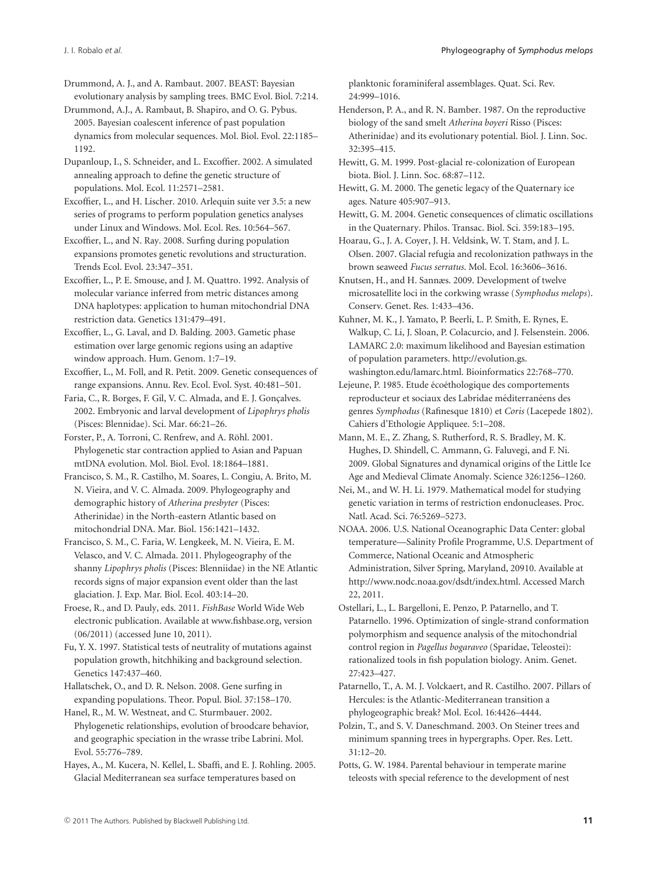Drummond, A. J., and A. Rambaut. 2007. BEAST: Bayesian evolutionary analysis by sampling trees. BMC Evol. Biol. 7:214.

Drummond, A.J., A. Rambaut, B. Shapiro, and O. G. Pybus. 2005. Bayesian coalescent inference of past population dynamics from molecular sequences. Mol. Biol. Evol. 22:1185– 1192.

Dupanloup, I., S. Schneider, and L. Excoffier. 2002. A simulated annealing approach to define the genetic structure of populations. Mol. Ecol. 11:2571–2581.

Excoffier, L., and H. Lischer. 2010. Arlequin suite ver 3.5: a new series of programs to perform population genetics analyses under Linux and Windows. Mol. Ecol. Res. 10:564–567.

Excoffier, L., and N. Ray. 2008. Surfing during population expansions promotes genetic revolutions and structuration. Trends Ecol. Evol. 23:347–351.

Excoffier, L., P. E. Smouse, and J. M. Quattro. 1992. Analysis of molecular variance inferred from metric distances among DNA haplotypes: application to human mitochondrial DNA restriction data. Genetics 131:479–491.

Excoffier, L., G. Laval, and D. Balding. 2003. Gametic phase estimation over large genomic regions using an adaptive window approach. Hum. Genom. 1:7–19.

Excoffier, L., M. Foll, and R. Petit. 2009. Genetic consequences of range expansions. Annu. Rev. Ecol. Evol. Syst. 40:481–501.

Faria, C., R. Borges, F. Gil, V. C. Almada, and E. J. Gonçalves. 2002. Embryonic and larval development of *Lipophrys pholis* (Pisces: Blennidae). Sci. Mar. 66:21–26.

Forster, P., A. Torroni, C. Renfrew, and A. Röhl. 2001. Phylogenetic star contraction applied to Asian and Papuan mtDNA evolution. Mol. Biol. Evol. 18:1864–1881.

Francisco, S. M., R. Castilho, M. Soares, L. Congiu, A. Brito, M. N. Vieira, and V. C. Almada. 2009. Phylogeography and demographic history of *Atherina presbyter* (Pisces: Atherinidae) in the North-eastern Atlantic based on mitochondrial DNA. Mar. Biol. 156:1421–1432.

Francisco, S. M., C. Faria, W. Lengkeek, M. N. Vieira, E. M. Velasco, and V. C. Almada. 2011. Phylogeography of the shanny *Lipophrys pholis* (Pisces: Blenniidae) in the NE Atlantic records signs of major expansion event older than the last glaciation. J. Exp. Mar. Biol. Ecol. 403:14–20.

Froese, R., and D. Pauly, eds. 2011. *FishBase* World Wide Web electronic publication. Available at www.fishbase.org, version (06/2011) (accessed June 10, 2011).

Fu, Y. X. 1997. Statistical tests of neutrality of mutations against population growth, hitchhiking and background selection. Genetics 147:437–460.

Hallatschek, O., and D. R. Nelson. 2008. Gene surfing in expanding populations. Theor. Popul. Biol. 37:158–170.

Hanel, R., M. W. Westneat, and C. Sturmbauer. 2002. Phylogenetic relationships, evolution of broodcare behavior, and geographic speciation in the wrasse tribe Labrini. Mol. Evol. 55:776–789.

Hayes, A., M. Kucera, N. Kellel, L. Sbaffi, and E. J. Rohling. 2005. Glacial Mediterranean sea surface temperatures based on

planktonic foraminiferal assemblages. Quat. Sci. Rev. 24:999–1016.

Henderson, P. A., and R. N. Bamber. 1987. On the reproductive biology of the sand smelt *Atherina boyeri* Risso (Pisces: Atherinidae) and its evolutionary potential. Biol. J. Linn. Soc. 32:395–415.

Hewitt, G. M. 1999. Post-glacial re-colonization of European biota. Biol. J. Linn. Soc. 68:87–112.

Hewitt, G. M. 2000. The genetic legacy of the Quaternary ice ages. Nature 405:907–913.

Hewitt, G. M. 2004. Genetic consequences of climatic oscillations in the Quaternary. Philos. Transac. Biol. Sci. 359:183–195.

Hoarau, G., J. A. Coyer, J. H. Veldsink, W. T. Stam, and J. L. Olsen. 2007. Glacial refugia and recolonization pathways in the brown seaweed *Fucus serratus*. Mol. Ecol. 16:3606–3616.

Knutsen, H., and H. Sannæs. 2009. Development of twelve microsatellite loci in the corkwing wrasse (*Symphodus melops*). Conserv. Genet. Res. 1:433–436.

Kuhner, M. K., J. Yamato, P. Beerli, L. P. Smith, E. Rynes, E. Walkup, C. Li, J. Sloan, P. Colacurcio, and J. Felsenstein. 2006. LAMARC 2.0: maximum likelihood and Bayesian estimation of population parameters. http://evolution.gs. washington.edu/lamarc.html. Bioinformatics 22:768–770.

Lejeune, P. 1985. Etude écoéthologique des comportements reproducteur et sociaux des Labridae méditerranéens des genres *Symphodus* (Rafinesque 1810) et *Coris* (Lacepede 1802). Cahiers d'Ethologie Appliquee. 5:1–208.

Mann, M. E., Z. Zhang, S. Rutherford, R. S. Bradley, M. K. Hughes, D. Shindell, C. Ammann, G. Faluvegi, and F. Ni. 2009. Global Signatures and dynamical origins of the Little Ice Age and Medieval Climate Anomaly. Science 326:1256–1260.

Nei, M., and W. H. Li. 1979. Mathematical model for studying genetic variation in terms of restriction endonucleases. Proc. Natl. Acad. Sci. 76:5269–5273.

NOAA. 2006. U.S. National Oceanographic Data Center: global temperature—Salinity Profile Programme, U.S. Department of Commerce, National Oceanic and Atmospheric Administration, Silver Spring, Maryland, 20910. Available at http://www.nodc.noaa.gov/dsdt/index.html. Accessed March 22, 2011.

Ostellari, L., L. Bargelloni, E. Penzo, P. Patarnello, and T. Patarnello. 1996. Optimization of single-strand conformation polymorphism and sequence analysis of the mitochondrial control region in *Pagellus bogaraveo* (Sparidae, Teleostei): rationalized tools in fish population biology. Anim. Genet. 27:423–427.

Patarnello, T., A. M. J. Volckaert, and R. Castilho. 2007. Pillars of Hercules: is the Atlantic-Mediterranean transition a phylogeographic break? Mol. Ecol. 16:4426–4444.

Polzin, T., and S. V. Daneschmand. 2003. On Steiner trees and minimum spanning trees in hypergraphs. Oper. Res. Lett. 31:12–20.

Potts, G. W. 1984. Parental behaviour in temperate marine teleosts with special reference to the development of nest